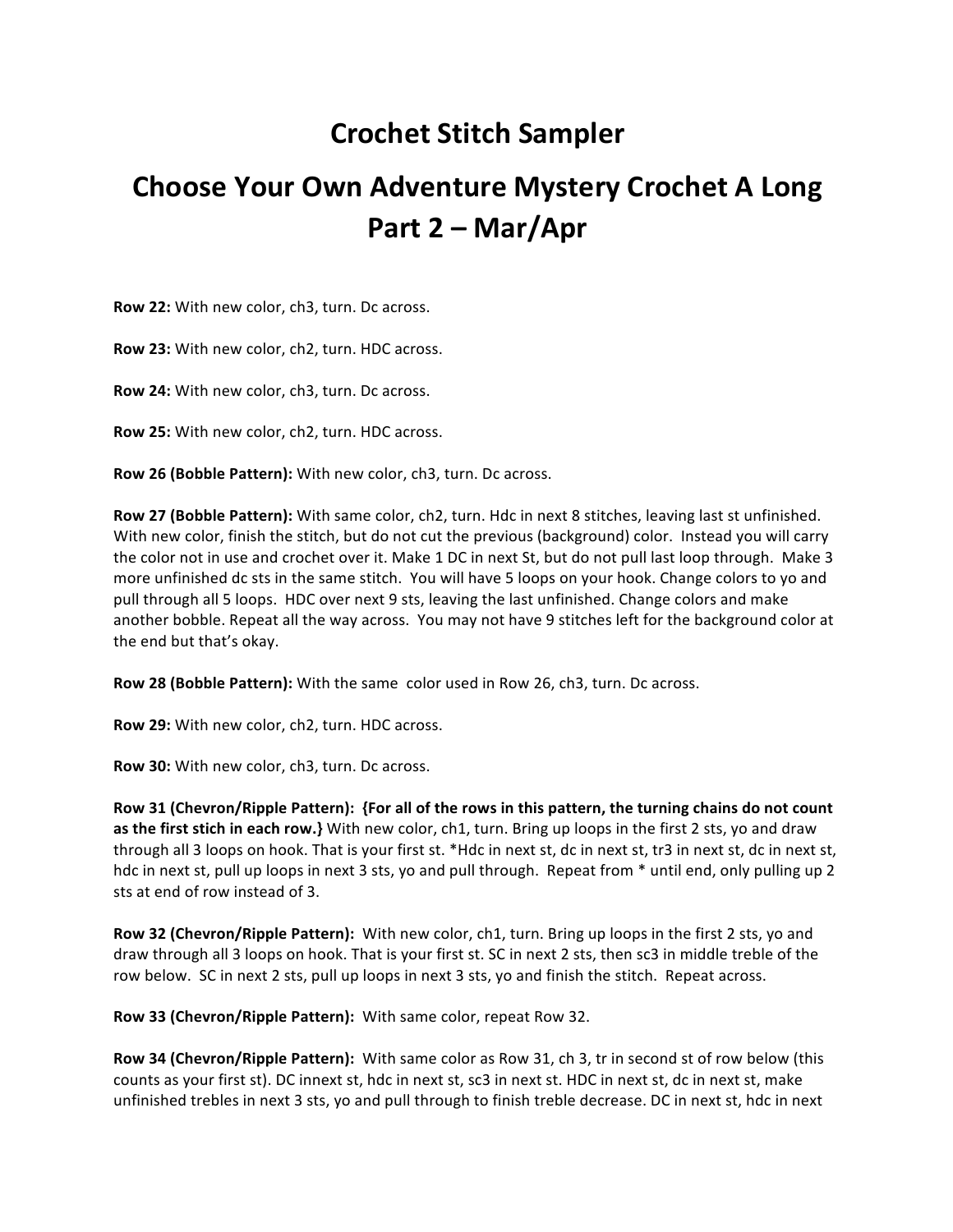## **Crochet Stitch Sampler**

## **Choose Your Own Adventure Mystery Crochet A Long Part 2 – Mar/Apr**

**Row 22:** With new color, ch3, turn. Dc across.

Row 23: With new color, ch2, turn. HDC across.

**Row 24:** With new color, ch3, turn. Dc across.

**Row 25:** With new color, ch2, turn. HDC across.

**Row 26 (Bobble Pattern):** With new color, ch3, turn. Dc across.

**Row 27 (Bobble Pattern):** With same color, ch2, turn. Hdc in next 8 stitches, leaving last st unfinished. With new color, finish the stitch, but do not cut the previous (background) color. Instead you will carry the color not in use and crochet over it. Make 1 DC in next St, but do not pull last loop through. Make 3 more unfinished dc sts in the same stitch. You will have 5 loops on your hook. Change colors to yo and pull through all 5 loops. HDC over next 9 sts, leaving the last unfinished. Change colors and make another bobble. Repeat all the way across. You may not have 9 stitches left for the background color at the end but that's okay.

**Row 28 (Bobble Pattern):** With the same color used in Row 26, ch3, turn. Dc across.

**Row 29:** With new color, ch2, turn. HDC across.

**Row 30:** With new color, ch3, turn. Dc across.

Row 31 (Chevron/Ripple Pattern): {For all of the rows in this pattern, the turning chains do not count **as the first stich in each row.}** With new color, ch1, turn. Bring up loops in the first 2 sts, yo and draw through all 3 loops on hook. That is your first st. \*Hdc in next st, dc in next st, tr3 in next st, dc in next st, hdc in next st, pull up loops in next 3 sts, yo and pull through. Repeat from  $*$  until end, only pulling up 2 sts at end of row instead of 3.

**Row 32 (Chevron/Ripple Pattern):** With new color, ch1, turn. Bring up loops in the first 2 sts, yo and draw through all 3 loops on hook. That is your first st. SC in next 2 sts, then sc3 in middle treble of the row below. SC in next 2 sts, pull up loops in next 3 sts, yo and finish the stitch. Repeat across.

**Row 33 (Chevron/Ripple Pattern):** With same color, repeat Row 32.

**Row 34 (Chevron/Ripple Pattern):** With same color as Row 31, ch 3, tr in second st of row below (this counts as your first st). DC innext st, hdc in next st, sc3 in next st. HDC in next st, dc in next st, make unfinished trebles in next 3 sts, yo and pull through to finish treble decrease. DC in next st, hdc in next